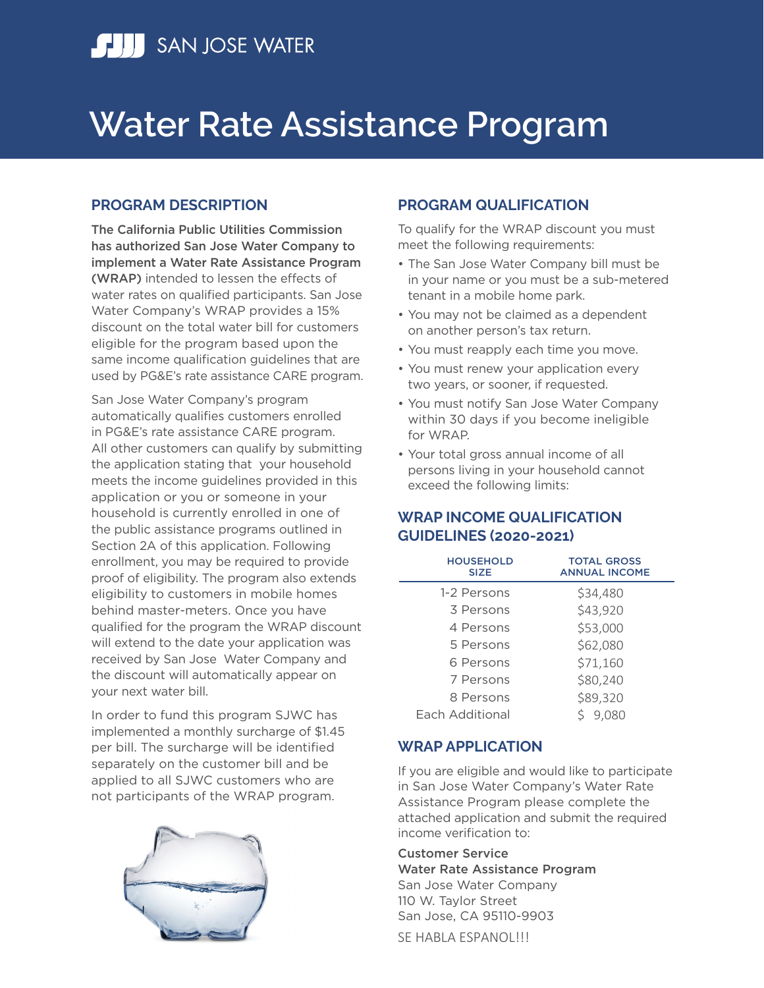

# **Water Rate Assistance Program**

### **PROGRAM DESCRIPTION**

The California Public Utilities Commission has authorized San Jose Water Company to implement a Water Rate Assistance Program (WRAP) intended to lessen the effects of water rates on qualified participants. San Jose Water Company's WRAP provides a 15% discount on the total water bill for customers eligible for the program based upon the same income qualification guidelines that are used by PG&E's rate assistance CARE program.

San Jose Water Company's program automatically qualifies customers enrolled in PG&E's rate assistance CARE program. All other customers can qualify by submitting the application stating that your household meets the income guidelines provided in this application or you or someone in your household is currently enrolled in one of the public assistance programs outlined in Section 2A of this application. Following enrollment, you may be required to provide proof of eligibility. The program also extends eligibility to customers in mobile homes behind master-meters. Once you have qualified for the program the WRAP discount will extend to the date your application was received by San Jose Water Company and the discount will automatically appear on your next water bill.

In order to fund this program SJWC has implemented a monthly surcharge of \$1.45 per bill. The surcharge will be identified separately on the customer bill and be applied to all SJWC customers who are not participants of the WRAP program.



### **PROGRAM QUALIFICATION**

To qualify for the WRAP discount you must meet the following requirements:

- The San Jose Water Company bill must be in your name or you must be a sub-metered tenant in a mobile home park.
- You may not be claimed as a dependent on another person's tax return.
- You must reapply each time you move.
- You must renew your application every two years, or sooner, if requested.
- You must notify San Jose Water Company within 30 days if you become ineligible for WRAP.
- Your total gross annual income of all persons living in your household cannot exceed the following limits:

### **WRAP INCOME QUALIFICATION GUIDELINES (2020-2021)**

| <b>HOUSEHOLD</b><br><b>SIZE</b> | <b>TOTAL GROSS</b><br><b>ANNUAL INCOME</b> |
|---------------------------------|--------------------------------------------|
| 1-2 Persons                     | \$34,480                                   |
| 3 Persons                       | \$43,920                                   |
| 4 Persons                       | \$53,000                                   |
| 5 Persons                       | \$62,080                                   |
| 6 Persons                       | \$71,160                                   |
| 7 Persons                       | \$80,240                                   |
| 8 Persons                       | \$89,320                                   |
| Each Additional                 | 9,080                                      |

### **WRAP APPLICATION**

If you are eligible and would like to participate in San Jose Water Company's Water Rate Assistance Program please complete the attached application and submit the required income verification to:

Customer Service Water Rate Assistance Program San Jose Water Company 110 W. Taylor Street San Jose, CA 95110-9903

SE HABLA ESPANOL!!!